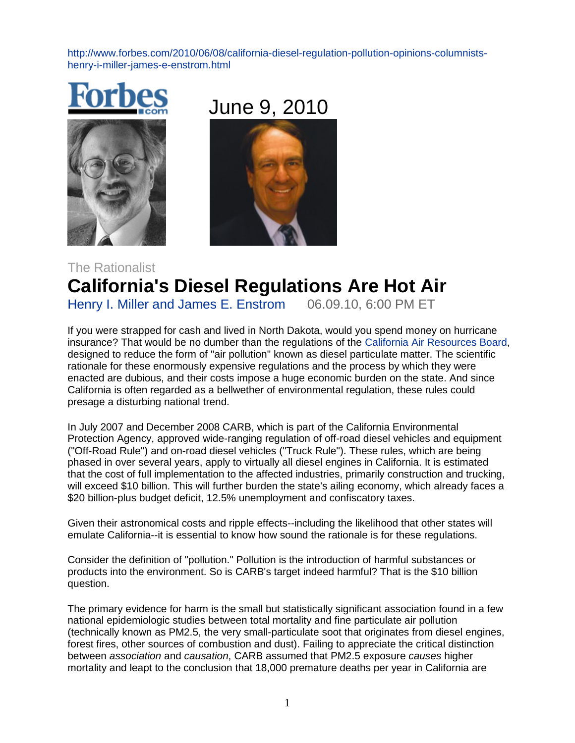[http://www.forbes.com/2010/06/08/california-diesel-regulation-pollution-opinions-columnists](http://www.forbes.com/2010/06/08/california-diesel-regulation-pollution-opinions-columnists-henry-i-miller-james-e-enstrom.html)[henry-i-miller-james-e-enstrom.html](http://www.forbes.com/2010/06/08/california-diesel-regulation-pollution-opinions-columnists-henry-i-miller-james-e-enstrom.html)





## The Rationalist **California's Diesel Regulations Are Hot Air Henry I. Miller and James E. Enstrom 06.09.10, 6:00 PM ET**

Henry I. Miller and James E. Enstrom

If you were strapped for cash and lived in North Dakota, would you spend money on hurricane insurance? That would be no dumber than the regulations of the [California Air Resources Board,](http://www.arb.ca.gov/diesel/diesel.htm) designed to reduce the form of "air pollution" known as diesel particulate matter. The scientific rationale for these enormously expensive regulations and the process by which they were enacted are dubious, and their costs impose a huge economic burden on the state. And since California is often regarded as a bellwether of environmental regulation, these rules could presage a disturbing national trend.

In July 2007 and December 2008 CARB, which is part of the California Environmental Protection Agency, approved wide-ranging regulation of off-road diesel vehicles and equipment ("Off-Road Rule") and on-road diesel vehicles ("Truck Rule"). These rules, which are being phased in over several years, apply to virtually all diesel engines in California. It is estimated that the cost of full implementation to the affected industries, primarily construction and trucking, will exceed \$10 billion. This will further burden the state's ailing economy, which already faces a \$20 billion-plus budget deficit, 12.5% unemployment and confiscatory taxes.

Given their astronomical costs and ripple effects--including the likelihood that other states will emulate California--it is essential to know how sound the rationale is for these regulations.

Consider the definition of "pollution." Pollution is the introduction of harmful substances or products into the environment. So is CARB's target indeed harmful? That is the \$10 billion question.

The primary evidence for harm is the small but statistically significant association found in a few national epidemiologic studies between total mortality and fine particulate air pollution (technically known as PM2.5, the very small-particulate soot that originates from diesel engines, forest fires, other sources of combustion and dust). Failing to appreciate the critical distinction between *association* and *causation*, CARB assumed that PM2.5 exposure *causes* higher mortality and leapt to the conclusion that 18,000 premature deaths per year in California are